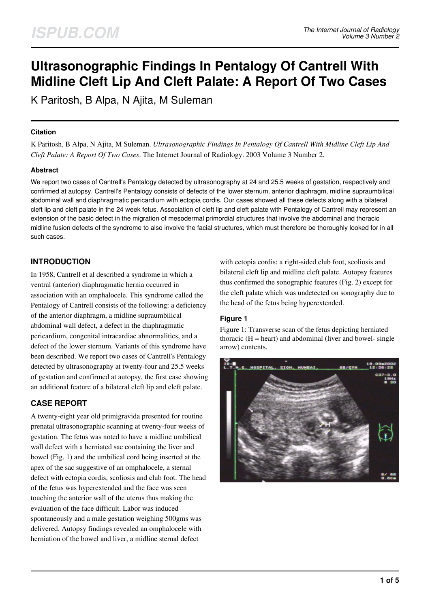# **Ultrasonographic Findings In Pentalogy Of Cantrell With Midline Cleft Lip And Cleft Palate: A Report Of Two Cases**

K Paritosh, B Alpa, N Ajita, M Suleman

#### **Citation**

K Paritosh, B Alpa, N Ajita, M Suleman. *Ultrasonographic Findings In Pentalogy Of Cantrell With Midline Cleft Lip And Cleft Palate: A Report Of Two Cases*. The Internet Journal of Radiology. 2003 Volume 3 Number 2.

#### **Abstract**

We report two cases of Cantrell's Pentalogy detected by ultrasonography at 24 and 25.5 weeks of gestation, respectively and confirmed at autopsy. Cantrell's Pentalogy consists of defects of the lower sternum, anterior diaphragm, midline supraumbilical abdominal wall and diaphragmatic pericardium with ectopia cordis. Our cases showed all these defects along with a bilateral cleft lip and cleft palate in the 24 week fetus. Association of cleft lip and cleft palate with Pentalogy of Cantrell may represent an extension of the basic defect in the migration of mesodermal primordial structures that involve the abdominal and thoracic midline fusion defects of the syndrome to also involve the facial structures, which must therefore be thoroughly looked for in all such cases.

## **INTRODUCTION**

In 1958, Cantrell et al described a syndrome in which a ventral (anterior) diaphragmatic hernia occurred in association with an omphalocele. This syndrome called the Pentalogy of Cantrell consists of the following: a deficiency of the anterior diaphragm, a midline supraumbilical abdominal wall defect, a defect in the diaphragmatic pericardium, congenital intracardiac abnormalities, and a defect of the lower sternum. Variants of this syndrome have been described. We report two cases of Cantrell's Pentalogy detected by ultrasonography at twenty-four and 25.5 weeks of gestation and confirmed at autopsy, the first case showing an additional feature of a bilateral cleft lip and cleft palate.

# **CASE REPORT**

A twenty-eight year old primigravida presented for routine prenatal ultrasonographic scanning at twenty-four weeks of gestation. The fetus was noted to have a midline umbilical wall defect with a herniated sac containing the liver and bowel (Fig. 1) and the umbilical cord being inserted at the apex of the sac suggestive of an omphalocele, a sternal defect with ectopia cordis, scoliosis and club foot. The head of the fetus was hyperextended and the face was seen touching the anterior wall of the uterus thus making the evaluation of the face difficult. Labor was induced spontaneously and a male gestation weighing 500gms was delivered. Autopsy findings revealed an omphalocele with herniation of the bowel and liver, a midline sternal defect

with ectopia cordis; a right-sided club foot, scoliosis and bilateral cleft lip and midline cleft palate. Autopsy features thus confirmed the sonographic features (Fig. 2) except for the cleft palate which was undetected on sonography due to the head of the fetus being hyperextended.

#### **Figure 1**

Figure 1: Transverse scan of the fetus depicting herniated thoracic  $(H = heart)$  and abdominal (liver and bowel- single arrow) contents.

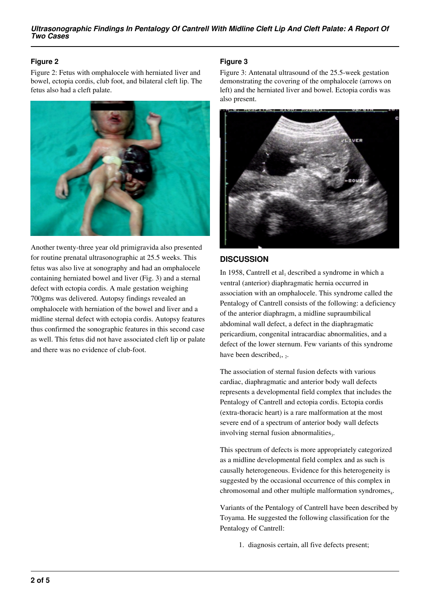## **Figure 2**

Figure 2: Fetus with omphalocele with herniated liver and bowel, ectopia cordis, club foot, and bilateral cleft lip. The fetus also had a cleft palate.



Another twenty-three year old primigravida also presented for routine prenatal ultrasonographic at 25.5 weeks. This fetus was also live at sonography and had an omphalocele containing herniated bowel and liver (Fig. 3) and a sternal defect with ectopia cordis. A male gestation weighing 700gms was delivered. Autopsy findings revealed an omphalocele with herniation of the bowel and liver and a midline sternal defect with ectopia cordis. Autopsy features thus confirmed the sonographic features in this second case as well. This fetus did not have associated cleft lip or palate and there was no evidence of club-foot.

## **Figure 3**

Figure 3: Antenatal ultrasound of the 25.5-week gestation demonstrating the covering of the omphalocele (arrows on left) and the herniated liver and bowel. Ectopia cordis was also present.



#### **DISCUSSION**

In 1958, Cantrell et  $al_1$  described a syndrome in which a ventral (anterior) diaphragmatic hernia occurred in association with an omphalocele. This syndrome called the Pentalogy of Cantrell consists of the following: a deficiency of the anterior diaphragm, a midline supraumbilical abdominal wall defect, a defect in the diaphragmatic pericardium, congenital intracardiac abnormalities, and a defect of the lower sternum. Few variants of this syndrome have been described<sub>1</sub>, 2.

The association of sternal fusion defects with various cardiac, diaphragmatic and anterior body wall defects represents a developmental field complex that includes the Pentalogy of Cantrell and ectopia cordis. Ectopia cordis (extra-thoracic heart) is a rare malformation at the most severe end of a spectrum of anterior body wall defects involving sternal fusion abnormalities<sub>3</sub>.

This spectrum of defects is more appropriately categorized as a midline developmental field complex and as such is causally heterogeneous. Evidence for this heterogeneity is suggested by the occasional occurrence of this complex in chromosomal and other multiple malformation syndromes<sub>4</sub>.

Variants of the Pentalogy of Cantrell have been described by Toyama. He suggested the following classification for the Pentalogy of Cantrell:

1. diagnosis certain, all five defects present;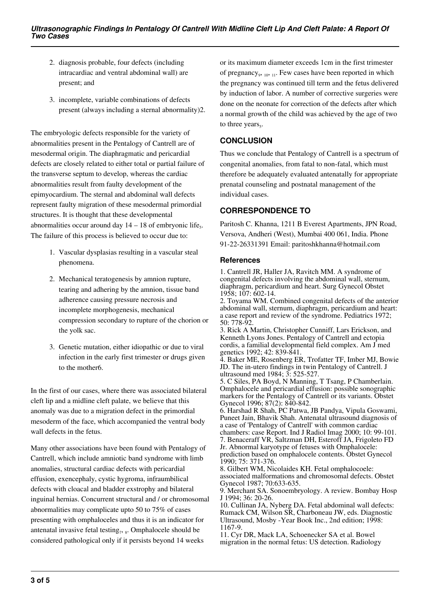- 2. diagnosis probable, four defects (including intracardiac and ventral abdominal wall) are present; and
- 3. incomplete, variable combinations of defects present (always including a sternal abnormality)2.

The embryologic defects responsible for the variety of abnormalities present in the Pentalogy of Cantrell are of mesodermal origin. The diaphragmatic and pericardial defects are closely related to either total or partial failure of the transverse septum to develop, whereas the cardiac abnormalities result from faulty development of the epimyocardium. The sternal and abdominal wall defects represent faulty migration of these mesodermal primordial structures. It is thought that these developmental abnormalities occur around day  $14 - 18$  of embryonic life<sub>5</sub>. The failure of this process is believed to occur due to:

- 1. Vascular dysplasias resulting in a vascular steal phenomena.
- 2. Mechanical teratogenesis by amnion rupture, tearing and adhering by the amnion, tissue band adherence causing pressure necrosis and incomplete morphogenesis, mechanical compression secondary to rupture of the chorion or the yolk sac.
- 3. Genetic mutation, either idiopathic or due to viral infection in the early first trimester or drugs given to the mother6.

In the first of our cases, where there was associated bilateral cleft lip and a midline cleft palate, we believe that this anomaly was due to a migration defect in the primordial mesoderm of the face, which accompanied the ventral body wall defects in the fetus.

Many other associations have been found with Pentalogy of Cantrell, which include amniotic band syndrome with limb anomalies, structural cardiac defects with pericardial effusion, exencephaly, cystic hygroma, infraumbilical defects with cloacal and bladder exstrophy and bilateral inguinal hernias. Concurrent structural and / or chromosomal abnormalities may complicate upto 50 to 75% of cases presenting with omphaloceles and thus it is an indicator for antenatal invasive fetal testing<sub>7</sub>,  $_{8}$ . Omphalocele should be considered pathological only if it persists beyond 14 weeks

or its maximum diameter exceeds 1cm in the first trimester of pregnancy<sub>9</sub>, 10, 11. Few cases have been reported in which the pregnancy was continued till term and the fetus delivered by induction of labor. A number of corrective surgeries were done on the neonate for correction of the defects after which a normal growth of the child was achieved by the age of two to three years $_5$ .

## **CONCLUSION**

Thus we conclude that Pentalogy of Cantrell is a spectrum of congenital anomalies, from fatal to non-fatal, which must therefore be adequately evaluated antenatally for appropriate prenatal counseling and postnatal management of the individual cases.

# **CORRESPONDENCE TO**

Paritosh C. Khanna, 1211 B Everest Apartments, JPN Road, Versova, Andheri (West), Mumbai 400 061, India. Phone 91-22-26331391 Email: paritoshkhanna@hotmail.com

#### **References**

1. Cantrell JR, Haller JA, Ravitch MM. A syndrome of congenital defects involving the abdominal wall, sternum, diaphragm, pericardium and heart. Surg Gynecol Obstet 1958; 107: 602-14.

2. Toyama WM. Combined congenital defects of the anterior abdominal wall, sternum, diaphragm, pericardium and heart: a case report and review of the syndrome. Pediatrics 1972; 50: 778-92.

3. Rick A Martin, Christopher Cunniff, Lars Erickson, and Kenneth Lyons Jones. Pentalogy of Cantrell and ectopia cordis, a familial developmental field complex. Am J med genetics 1992; 42: 839-841.

4. Baker ME, Rosenberg ER, Trofatter TF, Imber MJ, Bowie JD. The in-utero findings in twin Pentalogy of Cantrell. J ultrasound med 1984; 3: 525-527.

5. C Siles, PA Boyd, N Manning, T Tsang, P Chamberlain. Omphalocele and pericardial effusion: possible sonographic markers for the Pentalogy of Cantrell or its variants. Obstet Gynecol 1996; 87(2): 840-842.

6. Harshad R Shah, PC Patwa, JB Pandya, Vipula Goswami, Puneet Jain, Bhavik Shah. Antenatal ultrasound diagnosis of a case of 'Pentalogy of Cantrell' with common cardiac chambers: case Report. Ind J Radiol Imag 2000; 10: 99-101. 7. Benaceraff VR, Saltzman DH, Esteroff JA, Frigoleto FD

Jr. Abnormal karyotype of fetuses with Omphalocele:

prediction based on omphalocele contents. Obstet Gynecol 1990; 75: 371-376.

8. Gilbert WM, Nicolaides KH. Fetal omphalocoele: associated malformations and chromosomal defects. Obstet Gynecol 1987; 70:633-635.

9. Merchant SA. Sonoembryology. A review. Bombay Hosp J 1994; 36: 20-26.

10. Cullinan JA, Nyberg DA. Fetal abdominal wall defects: Rumack CM, Wilson SR, Charboneau JW, eds. Diagnostic Ultrasound, Mosby -Year Book Inc., 2nd edition; 1998: 1167-9.

11. Cyr DR, Mack LA, Schoenecker SA et al. Bowel migration in the normal fetus: US detection. Radiology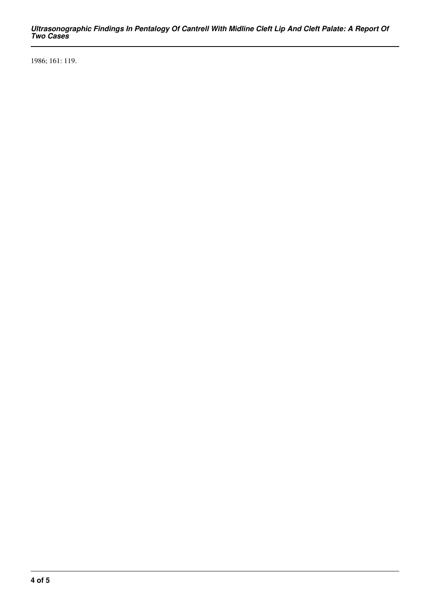*Ultrasonographic Findings In Pentalogy Of Cantrell With Midline Cleft Lip And Cleft Palate: A Report Of Two Cases*

1986; 161: 119.